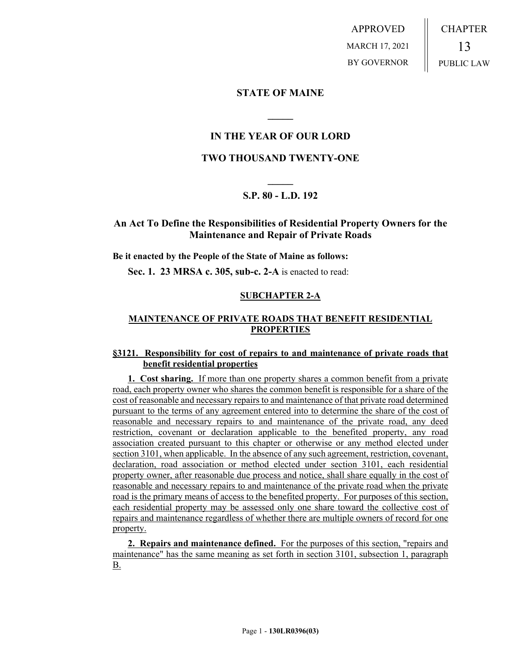APPROVED MARCH 17, 2021 BY GOVERNOR CHAPTER 13 PUBLIC LAW

## **STATE OF MAINE**

## **IN THE YEAR OF OUR LORD**

**\_\_\_\_\_**

## **TWO THOUSAND TWENTY-ONE**

# **\_\_\_\_\_ S.P. 80 - L.D. 192**

## **An Act To Define the Responsibilities of Residential Property Owners for the Maintenance and Repair of Private Roads**

#### **Be it enacted by the People of the State of Maine as follows:**

**Sec. 1. 23 MRSA c. 305, sub-c. 2-A** is enacted to read:

### **SUBCHAPTER 2-A**

### **MAINTENANCE OF PRIVATE ROADS THAT BENEFIT RESIDENTIAL PROPERTIES**

#### **§3121. Responsibility for cost of repairs to and maintenance of private roads that benefit residential properties**

**1. Cost sharing.** If more than one property shares a common benefit from a private road, each property owner who shares the common benefit is responsible for a share of the cost of reasonable and necessary repairs to and maintenance of that private road determined pursuant to the terms of any agreement entered into to determine the share of the cost of reasonable and necessary repairs to and maintenance of the private road, any deed restriction, covenant or declaration applicable to the benefited property, any road association created pursuant to this chapter or otherwise or any method elected under section 3101, when applicable. In the absence of any such agreement, restriction, covenant, declaration, road association or method elected under section 3101, each residential property owner, after reasonable due process and notice, shall share equally in the cost of reasonable and necessary repairs to and maintenance of the private road when the private road is the primary means of access to the benefited property. For purposes of this section, each residential property may be assessed only one share toward the collective cost of repairs and maintenance regardless of whether there are multiple owners of record for one property.

**2. Repairs and maintenance defined.** For the purposes of this section, "repairs and maintenance" has the same meaning as set forth in section 3101, subsection 1, paragraph B.